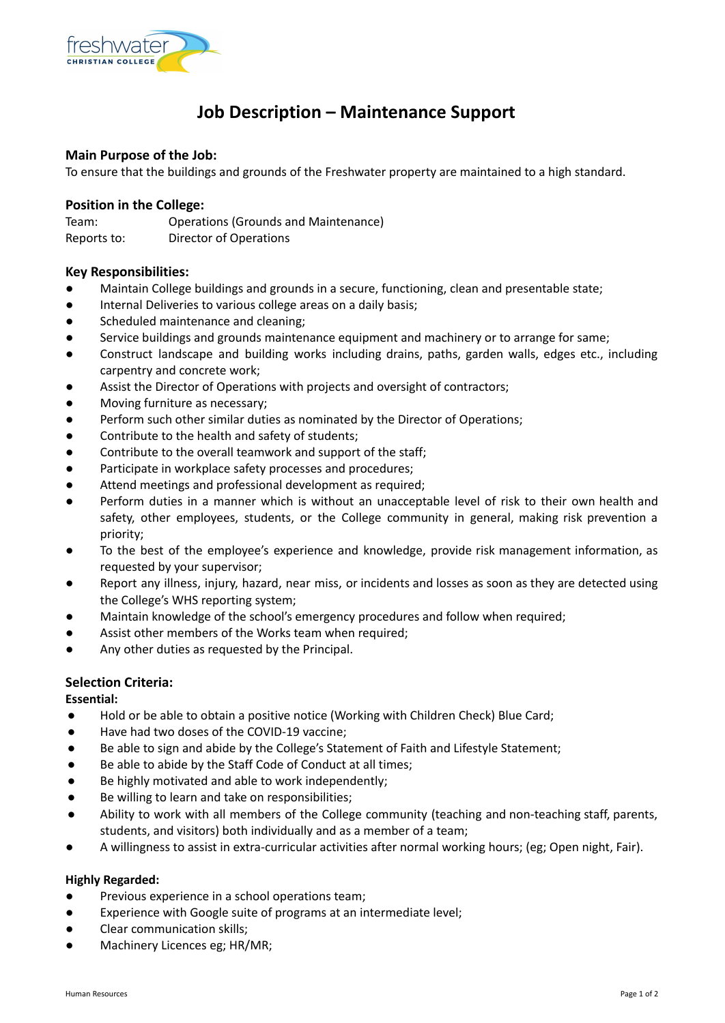

# **Job Description – Maintenance Support**

# **Main Purpose of the Job:**

To ensure that the buildings and grounds of the Freshwater property are maintained to a high standard.

### **Position in the College:**

Team: Operations (Grounds and Maintenance) Reports to: Director of Operations

# **Key Responsibilities:**

- Maintain College buildings and grounds in a secure, functioning, clean and presentable state;
- Internal Deliveries to various college areas on a daily basis;
- Scheduled maintenance and cleaning;
- Service buildings and grounds maintenance equipment and machinery or to arrange for same;
- Construct landscape and building works including drains, paths, garden walls, edges etc., including carpentry and concrete work;
- Assist the Director of Operations with projects and oversight of contractors;
- Moving furniture as necessary;
- Perform such other similar duties as nominated by the Director of Operations;
- Contribute to the health and safety of students;
- Contribute to the overall teamwork and support of the staff;
- Participate in workplace safety processes and procedures;
- Attend meetings and professional development as required;
- Perform duties in a manner which is without an unacceptable level of risk to their own health and safety, other employees, students, or the College community in general, making risk prevention a priority;
- To the best of the employee's experience and knowledge, provide risk management information, as requested by your supervisor;
- Report any illness, injury, hazard, near miss, or incidents and losses as soon as they are detected using the College's WHS reporting system;
- Maintain knowledge of the school's emergency procedures and follow when required;
- Assist other members of the Works team when required:
- Any other duties as requested by the Principal.

# **Selection Criteria:**

**Essential:**

- Hold or be able to obtain a positive notice (Working with Children Check) Blue Card;
- Have had two doses of the COVID-19 vaccine;
- Be able to sign and abide by the College's Statement of Faith and Lifestyle Statement;
- Be able to abide by the Staff Code of Conduct at all times:
- Be highly motivated and able to work independently:
- Be willing to learn and take on responsibilities;
- Ability to work with all members of the College community (teaching and non-teaching staff, parents, students, and visitors) both individually and as a member of a team;
- A willingness to assist in extra-curricular activities after normal working hours; (eg; Open night, Fair).

#### **Highly Regarded:**

- Previous experience in a school operations team;
- Experience with Google suite of programs at an intermediate level;
- Clear communication skills;
- Machinery Licences eg; HR/MR;